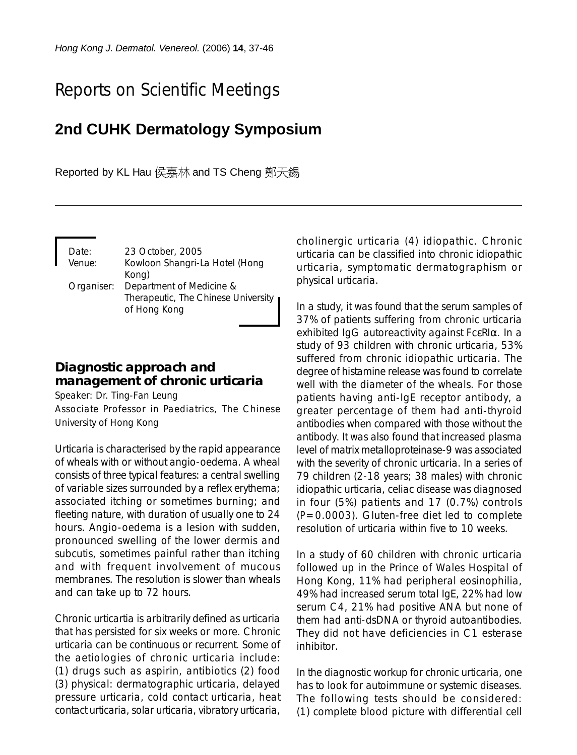# Reports on Scientific Meetings

## **2nd CUHK Dermatology Symposium**

Reported by KL Hau 侯嘉林 and TS Cheng 鄭天錫

| Date:      |                                     |
|------------|-------------------------------------|
|            | 23 October, 2005                    |
| Venue:     | Kowloon Shangri-La Hotel (Hong      |
|            | Kong)                               |
| Organiser: | Department of Medicine &            |
|            | Therapeutic, The Chinese University |
|            | of Hong Kong                        |
|            |                                     |

### **Diagnostic approach and management of chronic urticaria**

Speaker: Dr. Ting-Fan Leung

Associate Professor in Paediatrics, The Chinese University of Hong Kong

Urticaria is characterised by the rapid appearance of wheals with or without angio-oedema. A wheal consists of three typical features: a central swelling of variable sizes surrounded by a reflex erythema; associated itching or sometimes burning; and fleeting nature, with duration of usually one to 24 hours. Angio-oedema is a lesion with sudden, pronounced swelling of the lower dermis and subcutis, sometimes painful rather than itching and with frequent involvement of mucous membranes. The resolution is slower than wheals and can take up to 72 hours.

Chronic urticartia is arbitrarily defined as urticaria that has persisted for six weeks or more. Chronic urticaria can be continuous or recurrent. Some of the aetiologies of chronic urticaria include: (1) drugs such as aspirin, antibiotics (2) food (3) physical: dermatographic urticaria, delayed pressure urticaria, cold contact urticaria, heat contact urticaria, solar urticaria, vibratory urticaria,

cholinergic urticaria (4) idiopathic. Chronic urticaria can be classified into chronic idiopathic urticaria, symptomatic dermatographism or physical urticaria.

In a study, it was found that the serum samples of 37% of patients suffering from chronic urticaria exhibited IgG autoreactivity against FcεRIα. In a study of 93 children with chronic urticaria, 53% suffered from chronic idiopathic urticaria. The degree of histamine release was found to correlate well with the diameter of the wheals. For those patients having anti-IgE receptor antibody, a greater percentage of them had anti-thyroid antibodies when compared with those without the antibody. It was also found that increased plasma level of matrix metalloproteinase-9 was associated with the severity of chronic urticaria. In a series of 79 children (2-18 years; 38 males) with chronic idiopathic urticaria, celiac disease was diagnosed in four (5%) patients and 17 (0.7%) controls (*P*=0.0003). Gluten-free diet led to complete resolution of urticaria within five to 10 weeks.

In a study of 60 children with chronic urticaria followed up in the Prince of Wales Hospital of Hong Kong, 11% had peripheral eosinophilia, 49% had increased serum total IgE, 22% had low serum C4, 21% had positive ANA but none of them had anti-dsDNA or thyroid autoantibodies. They did not have deficiencies in C1 esterase inhibitor.

In the diagnostic workup for chronic urticaria, one has to look for autoimmune or systemic diseases. The following tests should be considered: (1) complete blood picture with differential cell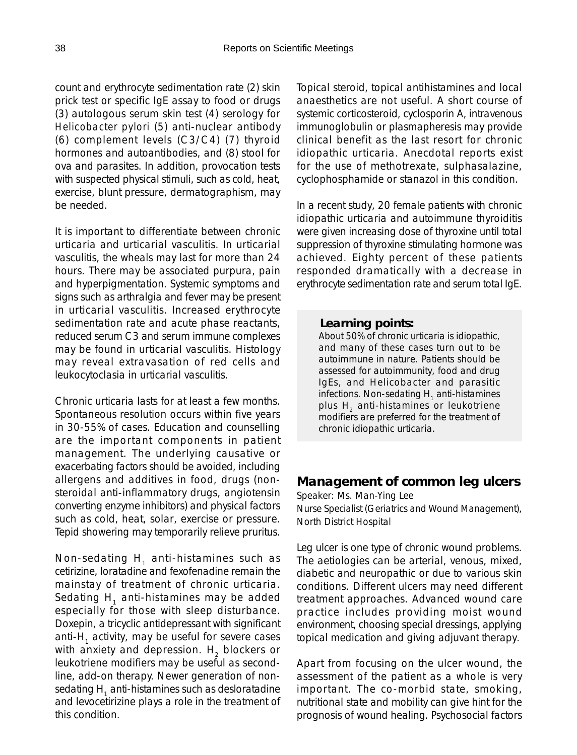count and erythrocyte sedimentation rate (2) skin prick test or specific IgE assay to food or drugs (3) autologous serum skin test (4) serology for *Helicobacter pylori* (5) anti-nuclear antibody (6) complement levels (C3/C4) (7) thyroid hormones and autoantibodies, and (8) stool for ova and parasites. In addition, provocation tests with suspected physical stimuli, such as cold, heat, exercise, blunt pressure, dermatographism, may be needed.

It is important to differentiate between chronic urticaria and urticarial vasculitis. In urticarial vasculitis, the wheals may last for more than 24 hours. There may be associated purpura, pain and hyperpigmentation. Systemic symptoms and signs such as arthralgia and fever may be present in urticarial vasculitis. Increased erythrocyte sedimentation rate and acute phase reactants, reduced serum C3 and serum immune complexes may be found in urticarial vasculitis. Histology may reveal extravasation of red cells and leukocytoclasia in urticarial vasculitis.

Chronic urticaria lasts for at least a few months. Spontaneous resolution occurs within five years in 30-55% of cases. Education and counselling are the important components in patient management. The underlying causative or exacerbating factors should be avoided, including allergens and additives in food, drugs (nonsteroidal anti-inflammatory drugs, angiotensin converting enzyme inhibitors) and physical factors such as cold, heat, solar, exercise or pressure. Tepid showering may temporarily relieve pruritus.

Non-sedating  $H_1$  anti-histamines such as cetirizine, loratadine and fexofenadine remain the mainstay of treatment of chronic urticaria. Sedating  $H_1$  anti-histamines may be added especially for those with sleep disturbance. Doxepin, a tricyclic antidepressant with significant anti- $H<sub>1</sub>$  activity, may be useful for severe cases with anxiety and depression.  $H<sub>2</sub>$  blockers or leukotriene modifiers may be useful as secondline, add-on therapy. Newer generation of nonsedating H<sub>1</sub> anti-histamines such as desloratadine and levocetirizine plays a role in the treatment of this condition.

Topical steroid, topical antihistamines and local anaesthetics are not useful. A short course of systemic corticosteroid, cyclosporin A, intravenous immunoglobulin or plasmapheresis may provide clinical benefit as the last resort for chronic idiopathic urticaria. Anecdotal reports exist for the use of methotrexate, sulphasalazine, cyclophosphamide or stanazol in this condition.

In a recent study, 20 female patients with chronic idiopathic urticaria and autoimmune thyroiditis were given increasing dose of thyroxine until total suppression of thyroxine stimulating hormone was achieved. Eighty percent of these patients responded dramatically with a decrease in erythrocyte sedimentation rate and serum total IgE.

#### *Learning points:*

About 50% of chronic urticaria is idiopathic, and many of these cases turn out to be autoimmune in nature. Patients should be assessed for autoimmunity, food and drug IgEs, and Helicobacter and parasitic infections. Non-sedating H<sub>1</sub> anti-histamines plus H<sub>2</sub> anti-histamines or leukotriene modifiers are preferred for the treatment of chronic idiopathic urticaria.

#### **Management of common leg ulcers**

Speaker: Ms. Man-Ying Lee Nurse Specialist (Geriatrics and Wound Management), North District Hospital

Leg ulcer is one type of chronic wound problems. The aetiologies can be arterial, venous, mixed, diabetic and neuropathic or due to various skin conditions. Different ulcers may need different treatment approaches. Advanced wound care practice includes providing moist wound environment, choosing special dressings, applying topical medication and giving adjuvant therapy.

Apart from focusing on the ulcer wound, the assessment of the patient as a whole is very important. The co-morbid state, smoking, nutritional state and mobility can give hint for the prognosis of wound healing. Psychosocial factors